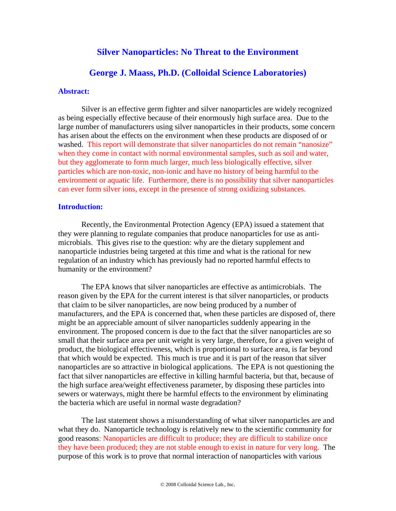# **Silver Nanoparticles: No Threat to the Environment**

## **George J. Maass, Ph.D. (Colloidal Science Laboratories)**

#### **Abstract:**

Silver is an effective germ fighter and silver nanoparticles are widely recognized as being especially effective because of their enormously high surface area. Due to the large number of manufacturers using silver nanoparticles in their products, some concern has arisen about the effects on the environment when these products are disposed of or washed. This report will demonstrate that silver nanoparticles do not remain "nanosize" when they come in contact with normal environmental samples, such as soil and water, but they agglomerate to form much larger, much less biologically effective, silver particles which are non-toxic, non-ionic and have no history of being harmful to the environment or aquatic life. Furthermore, there is no possibility that silver nanoparticles can ever form silver ions, except in the presence of strong oxidizing substances.

#### **Introduction:**

Recently, the Environmental Protection Agency (EPA) issued a statement that they were planning to regulate companies that produce nanoparticles for use as antimicrobials. This gives rise to the question: why are the dietary supplement and nanoparticle industries being targeted at this time and what is the rational for new regulation of an industry which has previously had no reported harmful effects to humanity or the environment?

The EPA knows that silver nanoparticles are effective as antimicrobials. The reason given by the EPA for the current interest is that silver nanoparticles, or products that claim to be silver nanoparticles, are now being produced by a number of manufacturers, and the EPA is concerned that, when these particles are disposed of, there might be an appreciable amount of silver nanoparticles suddenly appearing in the environment. The proposed concern is due to the fact that the silver nanoparticles are so small that their surface area per unit weight is very large, therefore, for a given weight of product, the biological effectiveness, which is proportional to surface area, is far beyond that which would be expected. This much is true and it is part of the reason that silver nanoparticles are so attractive in biological applications. The EPA is not questioning the fact that silver nanoparticles are effective in killing harmful bacteria, but that, because of the high surface area/weight effectiveness parameter, by disposing these particles into sewers or waterways, might there be harmful effects to the environment by eliminating the bacteria which are useful in normal waste degradation?

The last statement shows a misunderstanding of what silver nanoparticles are and what they do. Nanoparticle technology is relatively new to the scientific community for good reasons: Nanoparticles are difficult to produce; they are difficult to stabilize once they have been produced; they are not stable enough to exist in nature for very long. The purpose of this work is to prove that normal interaction of nanoparticles with various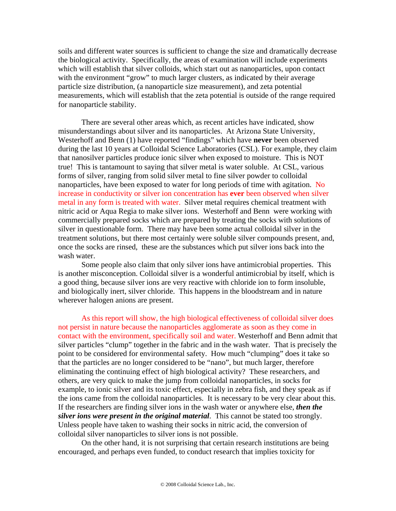soils and different water sources is sufficient to change the size and dramatically decrease the biological activity. Specifically, the areas of examination will include experiments which will establish that silver colloids, which start out as nanoparticles, upon contact with the environment "grow" to much larger clusters, as indicated by their average particle size distribution, (a nanoparticle size measurement), and zeta potential measurements, which will establish that the zeta potential is outside of the range required for nanoparticle stability.

There are several other areas which, as recent articles have indicated, show misunderstandings about silver and its nanoparticles. At Arizona State University, Westerhoff and Benn (1) have reported "findings" which have **never** been observed during the last 10 years at Colloidal Science Laboratories (CSL). For example, they claim that nanosilver particles produce ionic silver when exposed to moisture. This is NOT true! This is tantamount to saying that silver metal is water soluble. At CSL, various forms of silver, ranging from solid silver metal to fine silver powder to colloidal nanoparticles, have been exposed to water for long periods of time with agitation. No increase in conductivity or silver ion concentration has **ever** been observed when silver metal in any form is treated with water. Silver metal requires chemical treatment with nitric acid or Aqua Regia to make silver ions. Westerhoff and Benn were working with commercially prepared socks which are prepared by treating the socks with solutions of silver in questionable form. There may have been some actual colloidal silver in the treatment solutions, but there most certainly were soluble silver compounds present, and, once the socks are rinsed, these are the substances which put silver ions back into the wash water.

Some people also claim that only silver ions have antimicrobial properties. This is another misconception. Colloidal silver is a wonderful antimicrobial by itself, which is a good thing, because silver ions are very reactive with chloride ion to form insoluble, and biologically inert, silver chloride. This happens in the bloodstream and in nature wherever halogen anions are present.

As this report will show, the high biological effectiveness of colloidal silver does not persist in nature because the nanoparticles agglomerate as soon as they come in contact with the environment, specifically soil and water. Westerhoff and Benn admit that silver particles "clump" together in the fabric and in the wash water. That is precisely the point to be considered for environmental safety. How much "clumping" does it take so that the particles are no longer considered to be "nano", but much larger, therefore eliminating the continuing effect of high biological activity? These researchers, and others, are very quick to make the jump from colloidal nanoparticles, in socks for example, to ionic silver and its toxic effect, especially in zebra fish, and they speak as if the ions came from the colloidal nanoparticles. It is necessary to be very clear about this. If the researchers are finding silver ions in the wash water or anywhere else, *then the silver ions were present in the original material*. This cannot be stated too strongly. Unless people have taken to washing their socks in nitric acid, the conversion of colloidal silver nanoparticles to silver ions is not possible.

 On the other hand, it is not surprising that certain research institutions are being encouraged, and perhaps even funded, to conduct research that implies toxicity for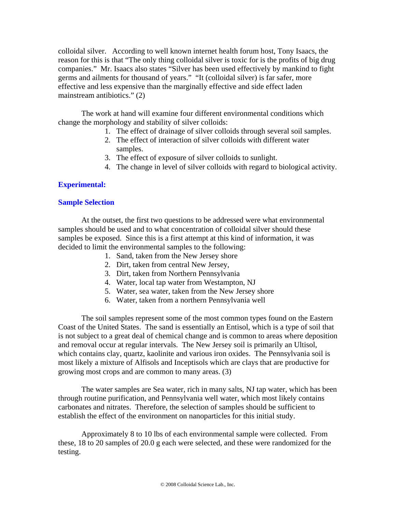colloidal silver. According to well known internet health forum host, Tony Isaacs, the reason for this is that "The only thing colloidal silver is toxic for is the profits of big drug companies." Mr. Isaacs also states "Silver has been used effectively by mankind to fight germs and ailments for thousand of years." "It (colloidal silver) is far safer, more effective and less expensive than the marginally effective and side effect laden mainstream antibiotics." (2)

The work at hand will examine four different environmental conditions which change the morphology and stability of silver colloids:

- 1. The effect of drainage of silver colloids through several soil samples.
- 2. The effect of interaction of silver colloids with different water samples.
- 3. The effect of exposure of silver colloids to sunlight.
- 4. The change in level of silver colloids with regard to biological activity.

## **Experimental:**

## **Sample Selection**

 At the outset, the first two questions to be addressed were what environmental samples should be used and to what concentration of colloidal silver should these samples be exposed. Since this is a first attempt at this kind of information, it was decided to limit the environmental samples to the following:

- 1. Sand, taken from the New Jersey shore
- 2. Dirt, taken from central New Jersey,
- 3. Dirt, taken from Northern Pennsylvania
- 4. Water, local tap water from Westampton, NJ
- 5. Water, sea water, taken from the New Jersey shore
- 6. Water, taken from a northern Pennsylvania well

The soil samples represent some of the most common types found on the Eastern Coast of the United States. The sand is essentially an Entisol, which is a type of soil that is not subject to a great deal of chemical change and is common to areas where deposition and removal occur at regular intervals. The New Jersey soil is primarily an Ultisol, which contains clay, quartz, kaolinite and various iron oxides. The Pennsylvania soil is most likely a mixture of Alfisols and Inceptisols which are clays that are productive for growing most crops and are common to many areas. (3)

The water samples are Sea water, rich in many salts, NJ tap water, which has been through routine purification, and Pennsylvania well water, which most likely contains carbonates and nitrates. Therefore, the selection of samples should be sufficient to establish the effect of the environment on nanoparticles for this initial study.

Approximately 8 to 10 lbs of each environmental sample were collected. From these, 18 to 20 samples of 20.0 g each were selected, and these were randomized for the testing.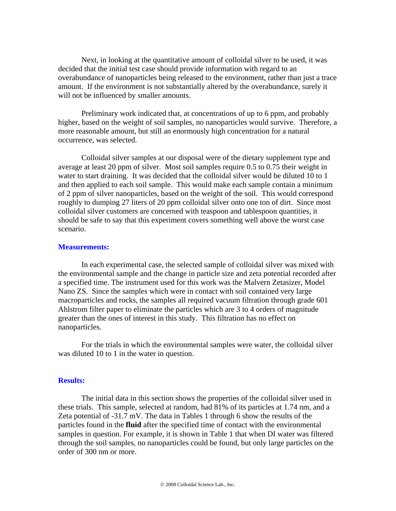Next, in looking at the quantitative amount of colloidal silver to be used, it was decided that the initial test case should provide information with regard to an overabundance of nanoparticles being released to the environment, rather than just a trace amount. If the environment is not substantially altered by the overabundance, surely it will not be influenced by smaller amounts.

Preliminary work indicated that, at concentrations of up to 6 ppm, and probably higher, based on the weight of soil samples, no nanoparticles would survive. Therefore, a more reasonable amount, but still an enormously high concentration for a natural occurrence, was selected.

Colloidal silver samples at our disposal were of the dietary supplement type and average at least 20 ppm of silver. Most soil samples require 0.5 to 0.75 their weight in water to start draining. It was decided that the colloidal silver would be diluted 10 to 1 and then applied to each soil sample. This would make each sample contain a minimum of 2 ppm of silver nanoparticles, based on the weight of the soil. This would correspond roughly to dumping 27 liters of 20 ppm colloidal silver onto one ton of dirt. Since most colloidal silver customers are concerned with teaspoon and tablespoon quantities, it should be safe to say that this experiment covers something well above the worst case scenario.

#### **Measurements:**

 In each experimental case, the selected sample of colloidal silver was mixed with the environmental sample and the change in particle size and zeta potential recorded after a specified time. The instrument used for this work was the Malvern Zetasizer, Model Nano ZS. Since the samples which were in contact with soil contained very large macroparticles and rocks, the samples all required vacuum filtration through grade 601 Ahlstrom filter paper to eliminate the particles which are 3 to 4 orders of magnitude greater than the ones of interest in this study. This filtration has no effect on nanoparticles.

 For the trials in which the environmental samples were water, the colloidal silver was diluted 10 to 1 in the water in question.

## **Results:**

 The initial data in this section shows the properties of the colloidal silver used in these trials. This sample, selected at random, had 81% of its particles at 1.74 nm, and a Zeta potential of -31.7 mV. The data in Tables 1 through 6 show the results of the particles found in the **fluid** after the specified time of contact with the environmental samples in question. For example, it is shown in Table 1 that when DI water was filtered through the soil samples, no nanoparticles could be found, but only large particles on the order of 300 nm or more.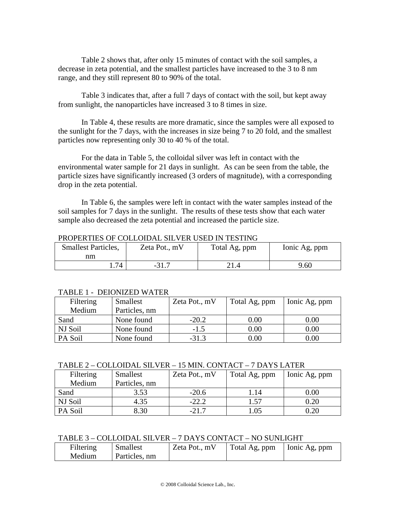Table 2 shows that, after only 15 minutes of contact with the soil samples, a decrease in zeta potential, and the smallest particles have increased to the 3 to 8 nm range, and they still represent 80 to 90% of the total.

Table 3 indicates that, after a full 7 days of contact with the soil, but kept away from sunlight, the nanoparticles have increased 3 to 8 times in size.

In Table 4, these results are more dramatic, since the samples were all exposed to the sunlight for the 7 days, with the increases in size being 7 to 20 fold, and the smallest particles now representing only 30 to 40 % of the total.

 For the data in Table 5, the colloidal silver was left in contact with the environmental water sample for 21 days in sunlight. As can be seen from the table, the particle sizes have significantly increased (3 orders of magnitude), with a corresponding drop in the zeta potential.

 In Table 6, the samples were left in contact with the water samples instead of the soil samples for 7 days in the sunlight. The results of these tests show that each water sample also decreased the zeta potential and increased the particle size.

| <b>Smallest Particles,</b><br>nm | Zeta Pot., mV | Total Ag, ppm | Ionic Ag, ppm |
|----------------------------------|---------------|---------------|---------------|
| 74                               |               |               | 9.60          |

## PROPERTIES OF COLLOIDAL SILVER USED IN TESTING

#### TABLE 1 - DEIONIZED WATER

| Filtering | Smallest      | Zeta Pot., mV | Total Ag, ppm | Ionic Ag, ppm |
|-----------|---------------|---------------|---------------|---------------|
| Medium    | Particles, nm |               |               |               |
| Sand      | None found    | $-20.2$       | 0.00          | 0.00          |
| NJ Soil   | None found    | $-1.5$        | 0.00          | 0.00          |
| PA Soil   | None found    | $-31.3$       | $0.00\,$      | 0.00          |

#### TABLE 2 – COLLOIDAL SILVER – 15 MIN. CONTACT – 7 DAYS LATER

| Filtering | Smallest      | Zeta Pot., mV | Total Ag, ppm | Ionic Ag, ppm |
|-----------|---------------|---------------|---------------|---------------|
| Medium    | Particles, nm |               |               |               |
| Sand      | 3.53          | $-20.6$       | 1.14          | $0.00\,$      |
| NJ Soil   | 4.35          | $-22.2$       | 1.57          | 0.20          |
| PA Soil   | 8.30          | $-21.7$       | 0.05          | 0.20          |

## TABLE 3 – COLLOIDAL SILVER – 7 DAYS CONTACT – NO SUNLIGHT

| Filtering | Smallest      | Zeta Pot., mV | Total Ag, ppm   Ionic Ag, ppm |  |
|-----------|---------------|---------------|-------------------------------|--|
| Medium    | Particles, nm |               |                               |  |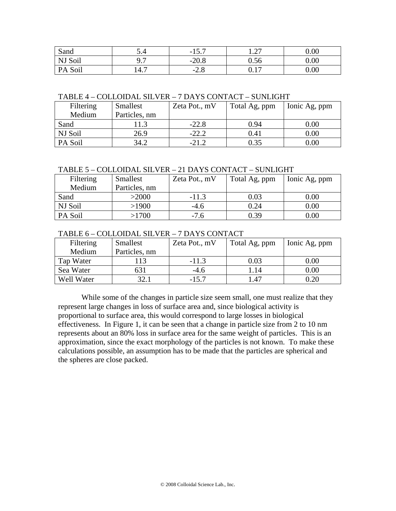| Sand       | J.H                              | 15 <sub>7</sub><br>$-13.7$ | $\sim$ $\sim$<br>$\mathbf{1} \cdot \mathbf{2}$ | 0.00 |
|------------|----------------------------------|----------------------------|------------------------------------------------|------|
| NJ Soil    | ר ר<br>, . <i>.</i>              | ኃ0. የ<br>-∠∪.o             | $0.56\,$                                       | 0.00 |
| Soil<br>PA | $\overline{\phantom{0}}$<br>14.1 | റ റ<br>$-L.O$              | $1 \sqrt{2}$<br>V. L /                         | 0.00 |

TABLE 4 – COLLOIDAL SILVER – 7 DAYS CONTACT – SUNLIGHT

| Filtering | Smallest      | Zeta Pot., mV | Total Ag, ppm | Ionic Ag, ppm |
|-----------|---------------|---------------|---------------|---------------|
| Medium    | Particles, nm |               |               |               |
| Sand      |               | $-22.8$       | 0.94          | $0.00\,$      |
| NJ Soil   | 26.9          | $-22.2$       | 0.41          | $0.00\,$      |
| PA Soil   | 34.2          | $-21.2$       | 0.35          | $0.00\,$      |

## TABLE 5 – COLLOIDAL SILVER – 21 DAYS CONTACT – SUNLIGHT

| Filtering | Smallest      | Zeta Pot., mV | Total Ag, ppm | Ionic Ag, ppm |
|-----------|---------------|---------------|---------------|---------------|
| Medium    | Particles, nm |               |               |               |
| Sand      | >2000         | $-11.3$       | 0.03          | $0.00\,$      |
| NJ Soil   | >1900         | $-4.6$        | 0.24          | $0.00\,$      |
| PA Soil   | >1700         | $-7.6$        | 0.39          | $0.00\,$      |

## TABLE 6 – COLLOIDAL SILVER – 7 DAYS CONTACT

| Filtering  | Smallest      | Zeta Pot., mV | Total Ag, ppm | Ionic Ag, ppm |
|------------|---------------|---------------|---------------|---------------|
| Medium     | Particles, nm |               |               |               |
| Tap Water  | 13            | $-11.3$       | 0.03          | 0.00          |
| Sea Water  | 631           | $-4.6$        | $\lfloor .14$ | $0.00\,$      |
| Well Water | 321           | $-15.7$       | .47           |               |

While some of the changes in particle size seem small, one must realize that they represent large changes in loss of surface area and, since biological activity is proportional to surface area, this would correspond to large losses in biological effectiveness. In Figure 1, it can be seen that a change in particle size from 2 to 10 nm represents about an 80% loss in surface area for the same weight of particles. This is an approximation, since the exact morphology of the particles is not known. To make these calculations possible, an assumption has to be made that the particles are spherical and the spheres are close packed.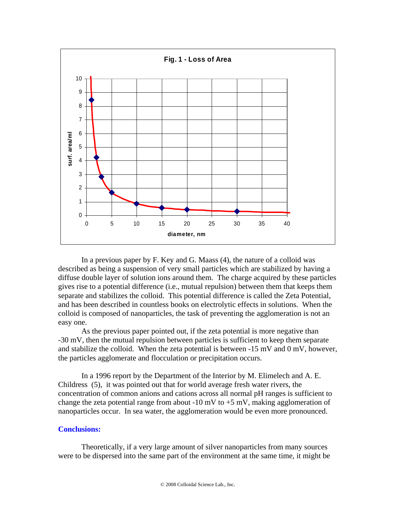

In a previous paper by F. Key and G. Maass (4), the nature of a colloid was described as being a suspension of very small particles which are stabilized by having a diffuse double layer of solution ions around them. The charge acquired by these particles gives rise to a potential difference (i.e., mutual repulsion) between them that keeps them separate and stabilizes the colloid. This potential difference is called the Zeta Potential, and has been described in countless books on electrolytic effects in solutions. When the colloid is composed of nanoparticles, the task of preventing the agglomeration is not an easy one.

As the previous paper pointed out, if the zeta potential is more negative than -30 mV, then the mutual repulsion between particles is sufficient to keep them separate and stabilize the colloid. When the zeta potential is between -15 mV and 0 mV, however, the particles agglomerate and flocculation or precipitation occurs.

In a 1996 report by the Department of the Interior by M. Elimelech and A. E. Childress (5), it was pointed out that for world average fresh water rivers, the concentration of common anions and cations across all normal pH ranges is sufficient to change the zeta potential range from about -10 mV to  $+5$  mV, making agglomeration of nanoparticles occur. In sea water, the agglomeration would be even more pronounced.

#### **Conclusions:**

Theoretically, if a very large amount of silver nanoparticles from many sources were to be dispersed into the same part of the environment at the same time, it might be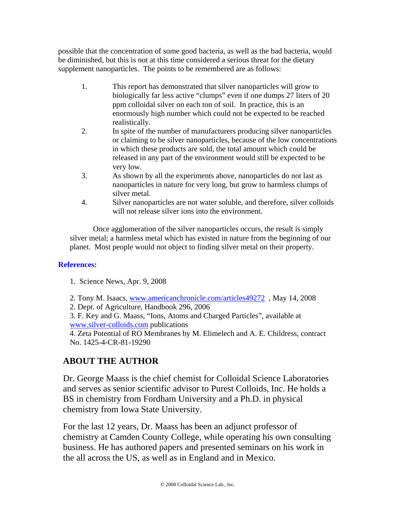possible that the concentration of some good bacteria, as well as the bad bacteria, would be diminished, but this is not at this time considered a serious threat for the dietary supplement nanoparticles. The points to be remembered are as follows:

- 1. This report has demonstrated that silver nanoparticles will grow to biologically far less active "clumps" even if one dumps 27 liters of 20 ppm colloidal silver on each ton of soil. In practice, this is an enormously high number which could not be expected to be reached realistically.
- 2. In spite of the number of manufacturers producing silver nanoparticles or claiming to be silver nanoparticles, because of the low concentrations in which these products are sold, the total amount which could be released in any part of the environment would still be expected to be very low.
- 3. As shown by all the experiments above, nanoparticles do not last as nanoparticles in nature for very long, but grow to harmless clumps of silver metal.
- 4. Silver nanoparticles are not water soluble, and therefore, silver colloids will not release silver ions into the environment.

Once agglomeration of the silver nanoparticles occurs, the result is simply silver metal; a harmless metal which has existed in nature from the beginning of our planet. Most people would not object to finding silver metal on their property.

# **References:**

- 1. Science News, Apr. 9, 2008
- 2. Tony M. Isaacs, www.americanchronicle.com/articles49272, May 14, 2008
- 2. Dept. of Agriculture, Handbook 296, 2006

3. F. Key and G. Maass, "Ions, Atoms and Charged Particles", available at www.silver-colloids.com publications

4. Zeta Potential of RO Membranes by M. Elimelech and A. E. Childress, contract No. 1425-4-CR-81-19290

# **ABOUT THE AUTHOR**

Dr. George Maass is the chief chemist for Colloidal Science Laboratories and serves as senior scientific advisor to Purest Colloids, Inc. He holds a BS in chemistry from Fordham University and a Ph.D. in physical chemistry from Iowa State University.

For the last 12 years, Dr. Maass has been an adjunct professor of chemistry at Camden County College, while operating his own consulting business. He has authored papers and presented seminars on his work in the all across the US, as well as in England and in Mexico.